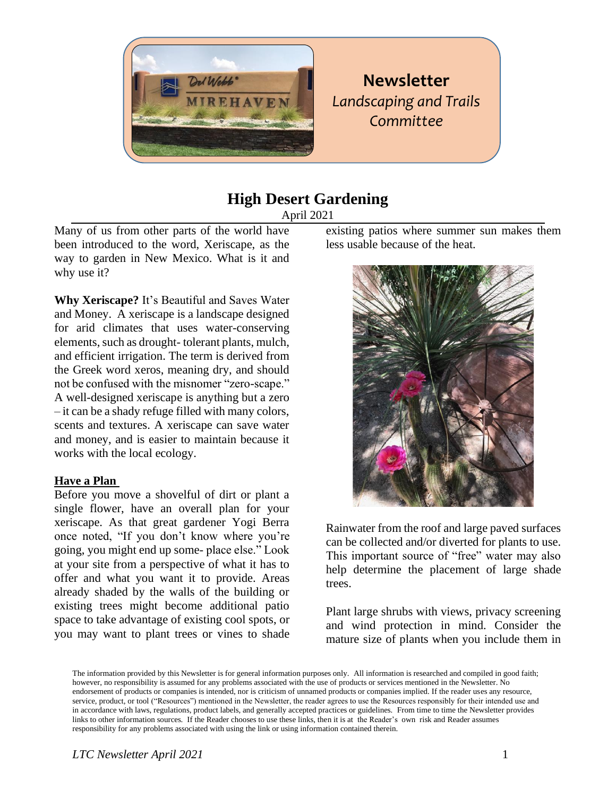

# **Newsletter** *Landscaping and Trails Committee*

## **High Desert Gardening**

April 2021

Many of us from other parts of the world have been introduced to the word, Xeriscape, as the way to garden in New Mexico. What is it and why use it?

**Why Xeriscape?** It's Beautiful and Saves Water and Money. A xeriscape is a landscape designed for arid climates that uses water-conserving elements, such as drought- tolerant plants, mulch, and efficient irrigation. The term is derived from the Greek word xeros, meaning dry, and should not be confused with the misnomer "zero-scape." A well-designed xeriscape is anything but a zero – it can be a shady refuge filled with many colors, scents and textures. A xeriscape can save water and money, and is easier to maintain because it works with the local ecology.

### **Have a Plan**

Before you move a shovelful of dirt or plant a single flower, have an overall plan for your xeriscape. As that great gardener Yogi Berra once noted, "If you don't know where you're going, you might end up some- place else." Look at your site from a perspective of what it has to offer and what you want it to provide. Areas already shaded by the walls of the building or existing trees might become additional patio space to take advantage of existing cool spots, or you may want to plant trees or vines to shade existing patios where summer sun makes them less usable because of the heat.



Rainwater from the roof and large paved surfaces can be collected and/or diverted for plants to use. This important source of "free" water may also help determine the placement of large shade trees.

Plant large shrubs with views, privacy screening and wind protection in mind. Consider the mature size of plants when you include them in

The information provided by this Newsletter is for general information purposes only. All information is researched and compiled in good faith; however, no responsibility is assumed for any problems associated with the use of products or services mentioned in the Newsletter. No endorsement of products or companies is intended, nor is criticism of unnamed products or companies implied. If the reader uses any resource, service, product, or tool ("Resources") mentioned in the Newsletter, the reader agrees to use the Resources responsibly for their intended use and in accordance with laws, regulations, product labels, and generally accepted practices or guidelines. From time to time the Newsletter provides links to other information sources. If the Reader chooses to use these links, then it is at the Reader's own risk and Reader assumes responsibility for any problems associated with using the link or using information contained therein.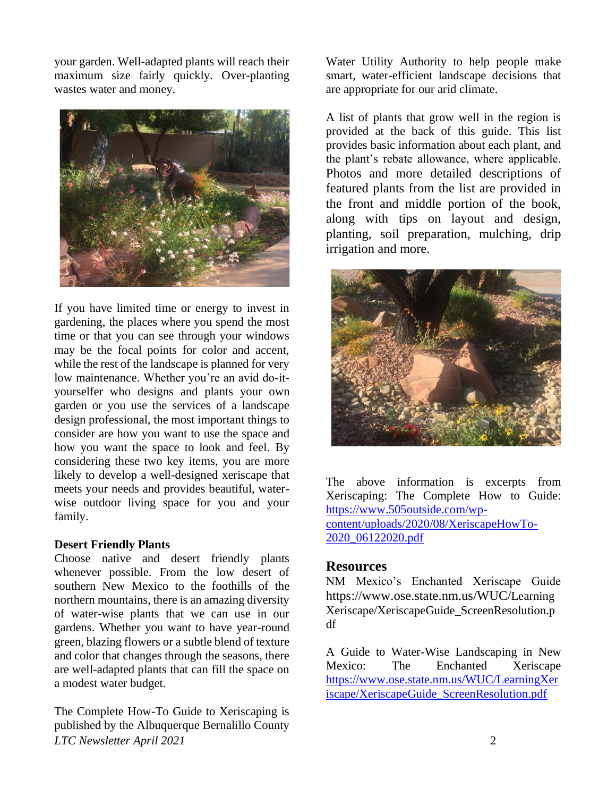your garden. Well-adapted plants will reach their maximum size fairly quickly. Over-planting wastes water and money.



If you have limited time or energy to invest in gardening, the places where you spend the most time or that you can see through your windows may be the focal points for color and accent, while the rest of the landscape is planned for very low maintenance. Whether you're an avid do-ityourselfer who designs and plants your own garden or you use the services of a landscape design professional, the most important things to consider are how you want to use the space and how you want the space to look and feel. By considering these two key items, you are more likely to develop a well-designed xeriscape that meets your needs and provides beautiful, waterwise outdoor living space for you and your family.

#### **Desert Friendly Plants**

Choose native and desert friendly plants whenever possible. From the low desert of southern New Mexico to the foothills of the northern mountains, there is an amazing diversity of water-wise plants that we can use in our gardens. Whether you want to have year-round green, blazing flowers or a subtle blend of texture and color that changes through the seasons, there are well-adapted plants that can fill the space on a modest water budget.

*LTC Newsletter April 2021* 2 The Complete How-To Guide to Xeriscaping is published by the Albuquerque Bernalillo County

Water Utility Authority to help people make smart, water-efficient landscape decisions that are appropriate for our arid climate.

A list of plants that grow well in the region is provided at the back of this guide. This list provides basic information about each plant, and the plant's rebate allowance, where applicable. Photos and more detailed descriptions of featured plants from the list are provided in the front and middle portion of the book, along with tips on layout and design, planting, soil preparation, mulching, drip irrigation and more.



The above information is excerpts from Xeriscaping: The Complete How to Guide: [https://www.505outside.com/wp](https://www.505outside.com/wp-content/uploads/2020/08/XeriscapeHowTo-2020_06122020.pdf)[content/uploads/2020/08/XeriscapeHowTo-](https://www.505outside.com/wp-content/uploads/2020/08/XeriscapeHowTo-2020_06122020.pdf)[2020\\_06122020.pdf](https://www.505outside.com/wp-content/uploads/2020/08/XeriscapeHowTo-2020_06122020.pdf)

### **Resources**

NM Mexico's Enchanted Xeriscape Guide https://www.ose.state.nm.us/WUC/Learning Xeriscape/XeriscapeGuide\_ScreenResolution.p df

A Guide to Water-Wise Landscaping in New Mexico: The Enchanted Xeriscape [https://www.ose.state.nm.us/WUC/LearningXer](https://www.ose.state.nm.us/WUC/LearningXeriscape/XeriscapeGuide_ScreenResolution.pdf) [iscape/XeriscapeGuide\\_ScreenResolution.pdf](https://www.ose.state.nm.us/WUC/LearningXeriscape/XeriscapeGuide_ScreenResolution.pdf)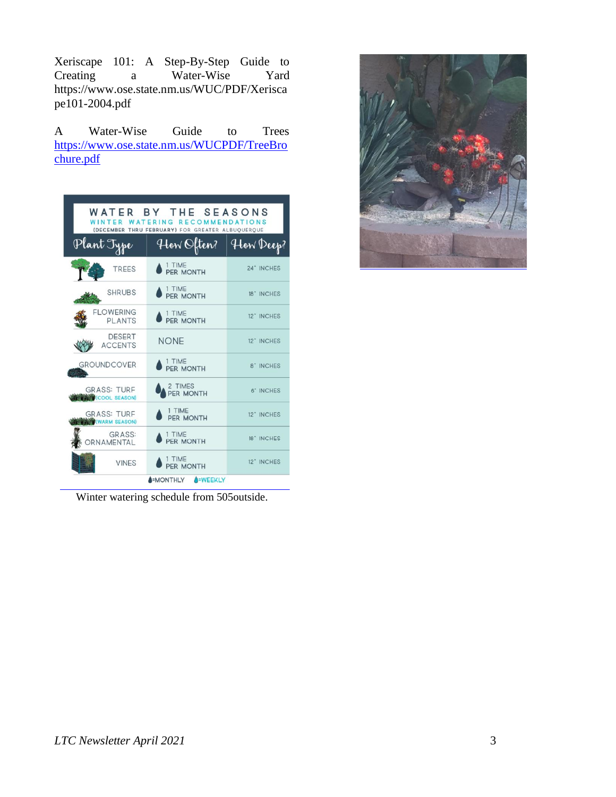Xeriscape 101: A Step-By-Step Guide to a Water-Wise Yard https://www.ose.state.nm.us/WUC/PDF/Xerisca pe101-2004.pdf

A Water-Wise Guide to Trees [https://www.ose.state.nm.us/WUCPDF/TreeBro](https://www.ose.state.nm.us/WUCPDF/TreeBrochure.pdf) [chure.pdf](https://www.ose.state.nm.us/WUCPDF/TreeBrochure.pdf)

| WATER BY THE SEASONS<br>WATERING<br><b>RECOMMENDATIONS</b><br>WINTER<br>(DECEMBER THRU FEBRUARY) FOR GREATER ALBUQUERQUE |                      |            |
|--------------------------------------------------------------------------------------------------------------------------|----------------------|------------|
| Plant Type                                                                                                               | How Often?           | How Deep?  |
| TREES                                                                                                                    | 1 TIME<br>PER MONTH  | 24" INCHES |
| <b>SHRUBS</b>                                                                                                            | 1 TIME<br>PER MONTH  | 18" INCHES |
| <b>FLOWERING</b><br><b>PLANTS</b>                                                                                        | 1 TIME<br>PER MONTH  | 12" INCHES |
| <b>DESERT</b><br><b>ACCENTS</b>                                                                                          | <b>NONE</b>          | 12" INCHES |
| <b>GROUNDCOVER</b>                                                                                                       | 1 TIME<br>PER MONTH  | 8" INCHES  |
| <b>GRASS: TURF</b><br><b>WILL COOL SEASON)</b>                                                                           | 2 TIMES<br>PER MONTH | 6" INCHES  |
| <b>GRASS: TURF</b><br><b>WWW (WARM SEASON)</b>                                                                           | 1 TIME<br>PER MONTH  | 12" INCHES |
| <b>GRASS:</b><br>ORNAMENTAL                                                                                              | 1 TIME<br>PER MONTH  | 18" INCHES |
| <b>VINES</b>                                                                                                             | 1 TIME<br>PER MONTH  | 12" INCHES |
| <b>A=WEEKLY</b><br><b>S-MONTHLY</b>                                                                                      |                      |            |

Winter watering schedule from 505outside.